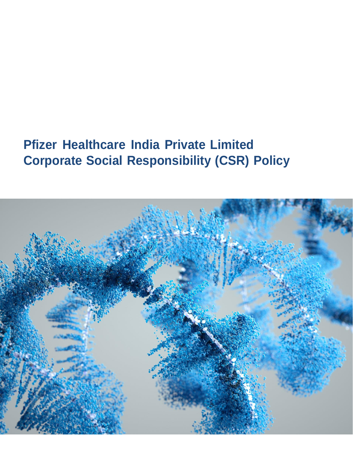# **Pfizer Healthcare India Private Limited Corporate Social Responsibility (CSR) Policy**

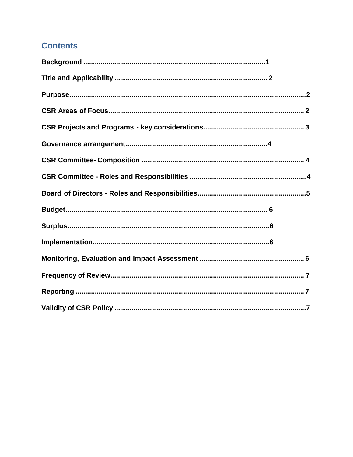# **Contents**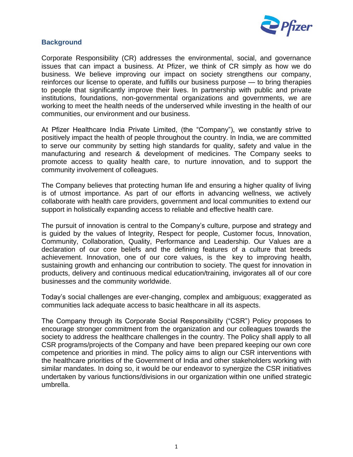

#### <span id="page-2-0"></span>**Background**

Corporate Responsibility (CR) addresses the environmental, social, and governance issues that can impact a business. At Pfizer, we think of CR simply as how we do business. We believe improving our impact on society strengthens our company, reinforces our license to operate, and fulfills our business purpose — to bring therapies to people that significantly improve their lives. In partnership with public and private institutions, foundations, non-governmental organizations and governments, we are working to meet the health needs of the underserved while investing in the health of our communities, our environment and our business.

At Pfizer Healthcare India Private Limited, (the "Company"), we constantly strive to positively impact the health of people throughout the country. In India, we are committed to serve our community by setting high standards for quality, safety and value in the manufacturing and research & development of medicines. The Company seeks to promote access to quality health care, to nurture innovation, and to support the community involvement of colleagues.

The Company believes that protecting human life and ensuring a higher quality of living is of utmost importance. As part of our efforts in advancing wellness, we actively collaborate with health care providers, government and local communities to extend our support in holistically expanding access to reliable and effective health care.

The pursuit of innovation is central to the Company's culture, purpose and strategy and is guided by the values of Integrity, Respect for people, Customer focus, Innovation, Community, Collaboration, Quality, Performance and Leadership. Our Values are a declaration of our core beliefs and the defining features of a culture that breeds achievement. Innovation, one of our core values, is the key to improving health, sustaining growth and enhancing our contribution to society. The quest for innovation in products, delivery and continuous medical education/training, invigorates all of our core businesses and the community worldwide.

Today's social challenges are ever-changing, complex and ambiguous; exaggerated as communities lack adequate access to basic healthcare in all its aspects.

The Company through its Corporate Social Responsibility ("CSR") Policy proposes to encourage stronger commitment from the organization and our colleagues towards the society to address the healthcare challenges in the country. The Policy shall apply to all CSR programs/projects of the Company and have been prepared keeping our own core competence and priorities in mind. The policy aims to align our CSR interventions with the healthcare priorities of the Government of India and other stakeholders working with similar mandates. In doing so, it would be our endeavor to synergize the CSR initiatives undertaken by various functions/divisions in our organization within one unified strategic umbrella.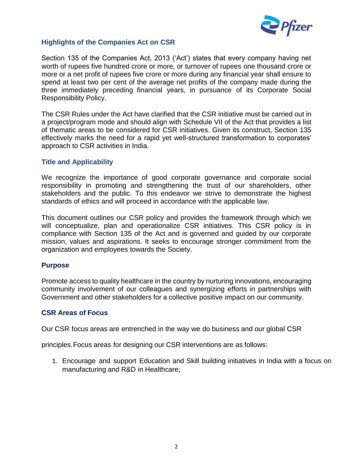

# **Highlights of the Companies Act on CSR**

Section 135 of the Companies Act, 2013 ('Act') states that every company having net worth of rupees five hundred crore or more, or turnover of rupees one thousand crore or more or a net profit of rupees five crore or more during any financial year shall ensure to spend at least two per cent of the average net profits of the company made during the three immediately preceding financial years, in pursuance of its Corporate Social Responsibility Policy.

The CSR Rules under the Act have clarified that the CSR initiative must be carried out in a project/program mode and should align with Schedule VII of the Act that provides a list of thematic areas to be considered for CSR initiatives. Given its construct, Section 135 effectively marks the need for a rapid yet well-structured transformation to corporates' approach to CSR activities in India.

#### <span id="page-3-0"></span>**Title and Applicability**

We recognize the importance of good corporate governance and corporate social responsibility in promoting and strengthening the trust of our shareholders, other stakeholders and the public. To this endeavor we strive to demonstrate the highest standards of ethics and will proceed in accordance with the applicable law.

This document outlines our CSR policy and provides the framework through which we will conceptualize, plan and operationalize CSR initiatives. This CSR policy is in compliance with Section 135 of the Act and is governed and guided by our corporate mission, values and aspirations. It seeks to encourage stronger commitment from the organization and employees towards the Society.

#### <span id="page-3-1"></span>**Purpose**

Promote access to quality healthcare in the country by nurturing innovations, encouraging community involvement of our colleagues and synergizing efforts in partnerships with Government and other stakeholders for a collective positive impact on our community.

# <span id="page-3-2"></span>**CSR Areas of Focus**

Our CSR focus areas are entrenched in the way we do business and our global CSR

principles.Focus areas for designing our CSR interventions are as follows:

1. Encourage and support Education and Skill building initiatives in India with a focus on manufacturing and R&D in Healthcare;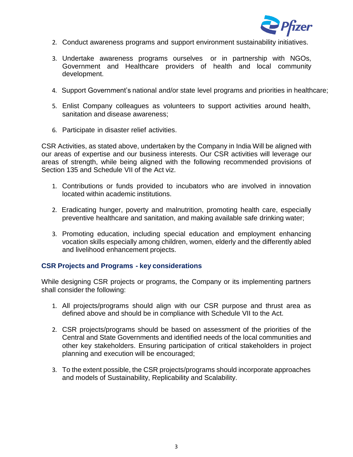

- 2. Conduct awareness programs and support environment sustainability initiatives.
- 3. Undertake awareness programs ourselves or in partnership with NGOs, Government and Healthcare providers of health and local community development.
- 4. Support Government's national and/or state level programs and priorities in healthcare;
- 5. Enlist Company colleagues as volunteers to support activities around health, sanitation and disease awareness;
- 6. Participate in disaster relief activities.

CSR Activities, as stated above, undertaken by the Company in India Will be aligned with our areas of expertise and our business interests. Our CSR activities will leverage our areas of strength, while being aligned with the following recommended provisions of Section 135 and Schedule VII of the Act viz.

- 1. Contributions or funds provided to incubators who are involved in innovation located within academic institutions.
- 2. Eradicating hunger, poverty and malnutrition, promoting health care, especially preventive healthcare and sanitation, and making available safe drinking water;
- 3. Promoting education, including special education and employment enhancing vocation skills especially among children, women, elderly and the differently abled and livelihood enhancement projects.

#### <span id="page-4-0"></span>**CSR Projects and Programs - key considerations**

While designing CSR projects or programs, the Company or its implementing partners shall consider the following:

- 1. All projects/programs should align with our CSR purpose and thrust area as defined above and should be in compliance with Schedule VII to the Act.
- 2. CSR projects/programs should be based on assessment of the priorities of the Central and State Governments and identified needs of the local communities and other key stakeholders. Ensuring participation of critical stakeholders in project planning and execution will be encouraged;
- 3. To the extent possible, the CSR projects/programs should incorporate approaches and models of Sustainability, Replicability and Scalability.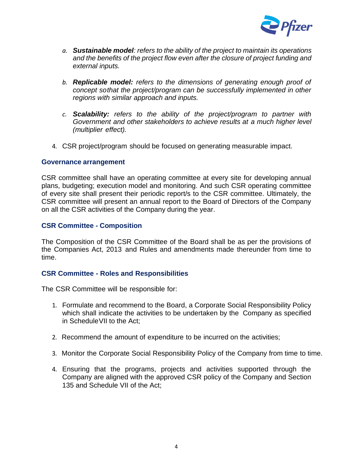

- *a. Sustainable model: refers to the ability of the project to maintain its operations and the benefits of the project flow even after the closure of project funding and external inputs.*
- *b. Replicable model: refers to the dimensions of generating enough proof of concept sothat the project/program can be successfully implemented in other regions with similar approach and inputs.*
- *c. Scalability: refers to the ability of the project/program to partner with Government and other stakeholders to achieve results at a much higher level (multiplier effect).*
- 4. CSR project/program should be focused on generating measurable impact.

#### <span id="page-5-0"></span>**Governance arrangement**

CSR committee shall have an operating committee at every site for developing annual plans, budgeting; execution model and monitoring. And such CSR operating committee of every site shall present their periodic report/s to the CSR committee. Ultimately, the CSR committee will present an annual report to the Board of Directors of the Company on all the CSR activities of the Company during the year.

#### <span id="page-5-1"></span>**CSR Committee - Composition**

The Composition of the CSR Committee of the Board shall be as per the provisions of the Companies Act, 2013 and Rules and amendments made thereunder from time to time.

# <span id="page-5-2"></span>**CSR Committee - Roles and Responsibilities**

The CSR Committee will be responsible for:

- 1. Formulate and recommend to the Board, a Corporate Social Responsibility Policy which shall indicate the activities to be undertaken by the Company as specified in ScheduleVII to the Act;
- 2. Recommend the amount of expenditure to be incurred on the activities;
- 3. Monitor the Corporate Social Responsibility Policy of the Company from time to time.
- 4. Ensuring that the programs, projects and activities supported through the Company are aligned with the approved CSR policy of the Company and Section 135 and Schedule VII of the Act;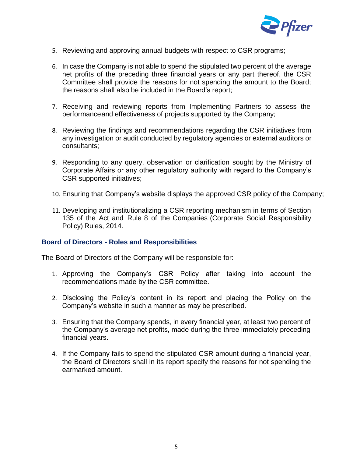

- 5. Reviewing and approving annual budgets with respect to CSR programs;
- 6. In case the Company is not able to spend the stipulated two percent of the average net profits of the preceding three financial years or any part thereof, the CSR Committee shall provide the reasons for not spending the amount to the Board; the reasons shall also be included in the Board's report;
- 7. Receiving and reviewing reports from Implementing Partners to assess the performanceand effectiveness of projects supported by the Company;
- 8. Reviewing the findings and recommendations regarding the CSR initiatives from any investigation or audit conducted by regulatory agencies or external auditors or consultants;
- 9. Responding to any query, observation or clarification sought by the Ministry of Corporate Affairs or any other regulatory authority with regard to the Company's CSR supported initiatives;
- 10. Ensuring that Company's website displays the approved CSR policy of the Company;
- 11. Developing and institutionalizing a CSR reporting mechanism in terms of Section 135 of the Act and Rule 8 of the Companies (Corporate Social Responsibility Policy) Rules, 2014.

#### <span id="page-6-0"></span>**Board of Directors - Roles and Responsibilities**

The Board of Directors of the Company will be responsible for:

- 1. Approving the Company's CSR Policy after taking into account the recommendations made by the CSR committee.
- 2. Disclosing the Policy's content in its report and placing the Policy on the Company's website in such a manner as may be prescribed.
- 3. Ensuring that the Company spends, in every financial year, at least two percent of the Company's average net profits, made during the three immediately preceding financial years.
- 4. If the Company fails to spend the stipulated CSR amount during a financial year, the Board of Directors shall in its report specify the reasons for not spending the earmarked amount.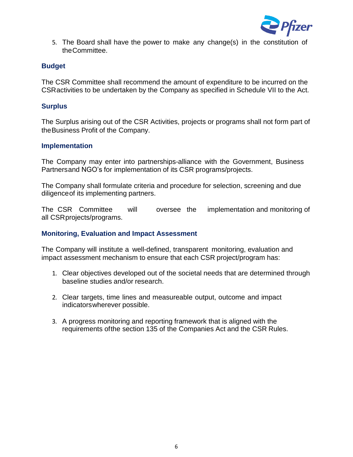

5. The Board shall have the power to make any change(s) in the constitution of theCommittee.

# <span id="page-7-0"></span>**Budget**

The CSR Committee shall recommend the amount of expenditure to be incurred on the CSRactivities to be undertaken by the Company as specified in Schedule VII to the Act.

# <span id="page-7-1"></span>**Surplus**

The Surplus arising out of the CSR Activities, projects or programs shall not form part of theBusiness Profit of the Company.

# <span id="page-7-2"></span>**Implementation**

The Company may enter into partnerships-alliance with the Government, Business Partnersand NGO's for implementation of its CSR programs/projects.

The Company shall formulate criteria and procedure for selection, screening and due diligenceof its implementing partners.

The CSR Committee will oversee the implementation and monitoring of all CSRprojects/programs.

# <span id="page-7-3"></span>**Monitoring, Evaluation and Impact Assessment**

The Company will institute a well-defined, transparent monitoring, evaluation and impact assessment mechanism to ensure that each CSR project/program has:

- 1. Clear objectives developed out of the societal needs that are determined through baseline studies and/or research.
- 2. Clear targets, time lines and measureable output, outcome and impact indicatorswherever possible.
- 3. A progress monitoring and reporting framework that is aligned with the requirements ofthe section 135 of the Companies Act and the CSR Rules.